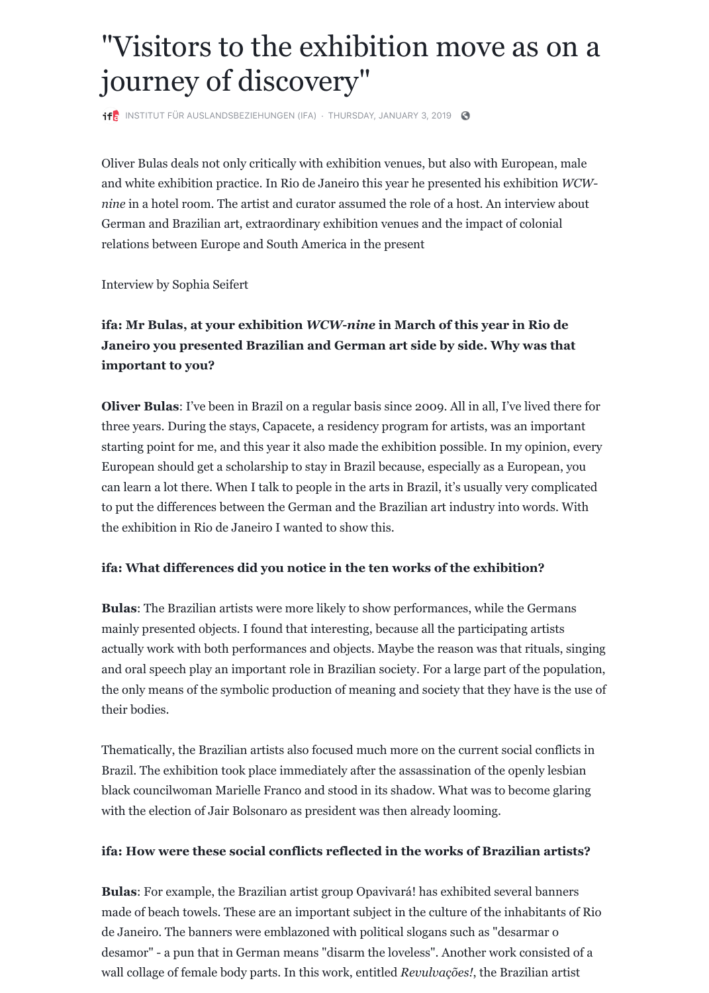three years. During the stays, Capacete, a residency program for starting point for me, and this year it also made the exhibition European should get a scholarship to stay in Brazil because, especially can learn a lot there. When I talk to people in the arts in Brazil, to put the differences between the German and the Brazilian art the [exhibition in Rio de Janeiro I wanted](https://www.facebook.com/www.ifa.de/) [to show this.](https://www.facebook.com/notes/institut-f%C3%BCr-auslandsbeziehungen-ifa/visitors-to-the-exhibition-move-as-on-a-journey-of-discovery/2350969371604417/)

### **ifa: What differences did you notice in the ten works of**

**Bulas**: The Brazilian artists were more likely to show performa mainly presented objects. I found that interesting, because all t actually work with both performances and objects. Maybe the r and oral speech play an important role in Brazilian society. For the only means of the symbolic production of meaning and soci their bodies.

Thematically, the Brazilian artists also focused much more on the current social conflicts in  $\mathbb{R}^n$ Brazil. The exhibition took place immediately after the assassin black councilwoman Marielle Franco and stood in its shadow. with the election of Jair Bolsonaro as president was then already looping.

#### ifa: How were these social conflicts reflected in the wo

**Bulas**: For example, the Brazilian artist group Opavivará! has made of beach towels. These are an important subject in the cu de Janeiro. The banners were emblazoned with political slogan desamor" - a pun that in German means "disarm the loveless". wall collage of female body parts. In this work, entitled *Revulvo*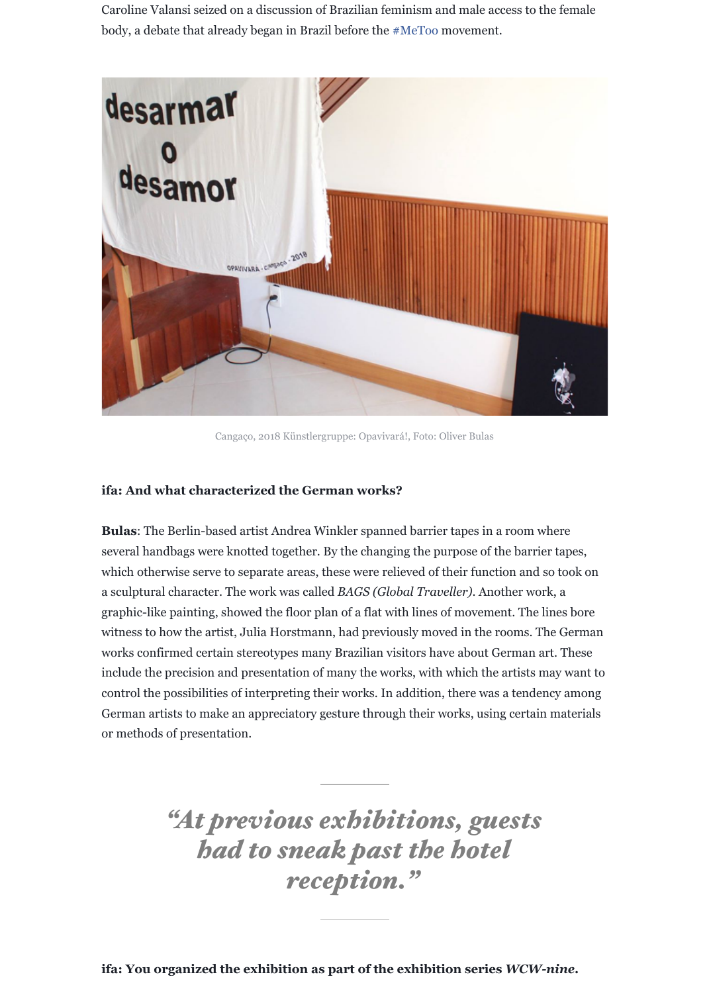#### **ifa: And what characterized the German works?**

**Bulas:** The Berlin-based artist Andrea Winkler spanned barrier several handbags were knotted together. By the changing the purpose of the states, the purpose of the states,  $\frac{1}{2}$ which otherwise serve to separate areas, these were relieved of a sculptural character. The work was called *BAGS* (*Global Trav*). graphic-like painting, showed the floor plan of a flat with lines witness to how the artist, Julia Horstmann, had previously move works confirmed certain stereotypes many Brazilian visitors ha include the precision and presentation of many the works, with control the possibilities of interpreting their works. In addition German artists to make an appreciatory gesture through their works, using  $\alpha$ or methods of presentation.

*"At previous exhibitions, guests* **had to sneak past the** *reception."*

**ifa: You organized the exhibition as part of the exhibit**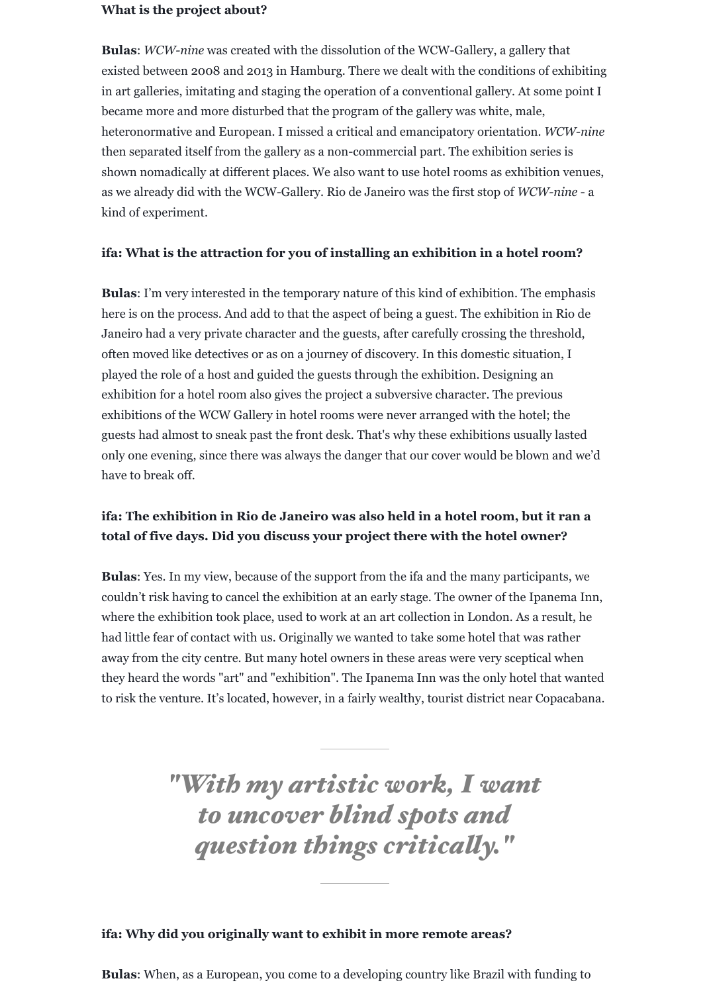#### **What is the project about?**

**Bulas**: *WCW-nine* was created with the dissolution of the WCW-Gallery, a gallery that existed between 2008 and 2013 in Hamburg. There we dealt with the conditions of exhibiting in art galleries, imitating and staging the operation of a conventional gallery. At some point I became more and more disturbed that the program of the gallery was white, male, heteronormative and European. I missed a critical and emancipatory orientation. *WCW-nine* then separated itself from the gallery as a non-commercial part. The exhibition series is shown nomadically at different places. We also want to use hotel rooms as exhibition venues, as we already did with the WCW-Gallery. Rio de Janeiro was the first stop of *WCW-nine* - a kind of experiment.

#### **ifa: What is the attraction for you of installing an exhibition in a hotel room?**

**Bulas**: I'm very interested in the temporary nature of this kind of exhibition. The emphasis here is on the process. And add to that the aspect of being a guest. The exhibition in Rio de Janeiro had a very private character and the guests, after carefully crossing the threshold, often moved like detectives or as on a journey of discovery. In this domestic situation, I played the role of a host and guided the guests through the exhibition. Designing an exhibition for a hotel room also gives the project a subversive character. The previous exhibitions of the WCW Gallery in hotel rooms were never arranged with the hotel; the guests had almost to sneak past the front desk. That's why these exhibitions usually lasted only one evening, since there was always the danger that our cover would be blown and we'd have to break off.

## **ifa: The exhibition in Rio de Janeiro was also held in a hotel room, but it ran a total of five days. Did you discuss your project there with the hotel owner?**

**Bulas**: Yes. In my view, because of the support from the ifa and the many participants, we couldn't risk having to cancel the exhibition at an early stage. The owner of the Ipanema Inn, where the exhibition took place, used to work at an art collection in London. As a result, he had little fear of contact with us. Originally we wanted to take some hotel that was rather

away from the city centre. But many hotel owners in these areas were very sceptical when they heard the words "art" and "exhibition". The Ipanema Inn was the only hotel that wanted to risk the venture. It's located, however, in a fairly wealthy, tourist district near Copacabana.

**ifa: Why did you originally want to exhibit in more remote areas?**

**Bulas**: When, as a European, you come to a developing country like Brazil with funding to

# *"With my artistic work, I want to uncover blind spots and question things criticaly."*